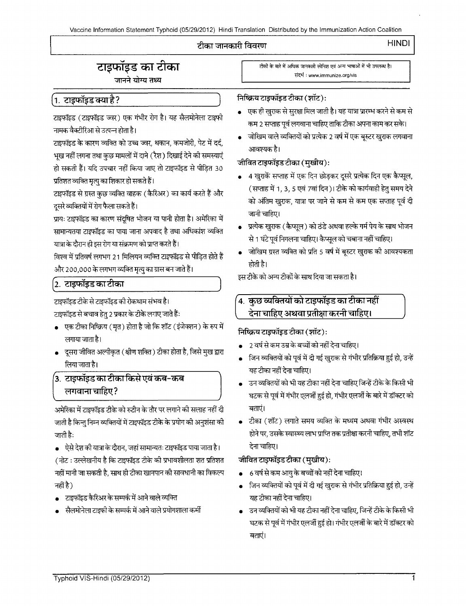Vaccine Information Statement Typhoid (05/29/2012) Hindi Translation Distributed by the Immunization Action Coalition

#### टीका जानकारी विवरण

#### **HINDI I**

### **C:1\$lfil\$:S ef)1 cicfil**

जानने योग्य तथ्य

~ (~ ~) ~ ffl WT i1 ~ .A(']Lil~('JI <sup>~</sup> नामक वैक्टीरिआ से उत्पन्न होता है।

टाइफॉइड के कारण व्यक्ति को उच्च ज्वर, थकान, कमजोरी, पेट में दर्द, ~~B<RTWTT~~ifc::R (~) ~~<fil~ m ~%I \* ~ ~ fcfi,:rr <sup>~</sup>cft ~it~ <sup>30</sup> प्रतिशत व्यक्ति मृत्यु का शिकार हो सकते हैं।

टाइफॉइड से ग्रस्त कुछ व्यक्ति वाहक (कैरिअर) का कार्य करते हैं और दूसरे व्यक्तियों में रोग फैला सकते हैं।

प्रायः टाइफॉइड का कारण संदूषित भोजन या पानी होता है। अमेरिका में सामान्यतया टाइफॉइड का पाया जाना अपवाद है तथा अधिकांश व्यक्ति यात्रा के दौरान ही इस रोग या संक्रमण को प्राप्त करते हैं।

विश्व में प्रतिवर्ष लगभग 21 मिलियन व्यक्ति टाइफॉइड से पीड़ित होते हैं और 200,000 के लगभग व्यक्ति मृत्यु का ग्रास बन जाते हैं।

#### 2. टाइफॉइड का टीका

टाइफॉइड टीके से टाइफॉइड की रोकथाम संभव है।

टाइफॉइड से बचाव हेत् 2 प्रकार के टीके लगाए जाते हैं:

- . एक टीका निष्क्रिय (मृत) होता है जो कि शॉट (इंजेक्शन) के रुप में लगाया जाता है।
- -दूसरा जीवित अल्पीकृत ( क्षीण शक्ति ) टीका होता है, जिसे मुख द्वारा लिया जाता है।

# **(3. टाइफॉइड का टीका किसे एवं कब-कब**<br>| लगवाना चाहिए?

लगाया जाता है।<br>• दूसरा जीवित अल्पीकृत (क्षीण शक्ति) टीका होता है, जिसे मुख द्वारा<br>लिया जाता है।<br>**3. टाइफॉइड का टीका किसे एवं कब-कब<br>लगवाना चाहिए ?<br>अमेरिका में टाइफॉइड टीके को रुटीन के तौर पर लगाने की सलाह नहीं दी<br>जाती है** जाती है किन्तु निम्न व्यक्तियों में टाइफॉइड टीके के प्रयोग की अनुशंसा की जाती है:

• ऐसे देश की यात्रा के दौरान, जहां सामान्यतः टाइफॉइड पाया जाता है। (नोट : उल्लेखनीय है कि टाइफॉइड टीके की प्रभावशीलता शत प्रतिशत नहीं मानी जा सकती है, साथ ही टीका खानपान की सावधानी का विकल्प नहीं है)

- टाइफॉइड कैरिअर के सम्पर्क में आने वाले व्यक्ति
- .<br>सैलमोनेला टाइफी के सम्पर्क में आने वाले प्रयोगशाला कर्मी

टीकों के बारे में अधिक जानकारी स्पेनिश एवं अन्य भाषाओं में भी उपलब्ध है। ~ : www.immunize.org/vis

#### **निष्क्रिय टाइफॉइड टीका (शॉट):**

- । एक ही खुराक से सुरक्षा मिल जाती है। यह यात्रा प्रारम्भ करने से कम से कम 2 सप्ताह पूर्व लगवाना चाहिए ताकि टीका अपना काम कर सके।
- लगे 2 से साल दून समयाना नाल्ड साम जमा जमा कर समय<br>• जोखिम वाले व्यक्तियों को प्रत्येक 2 वर्ष में एक बूस्टर खुराक लगवाना<br>आवश्यक है।

## <sup>आवश्यक है।</sup><br>जीवित टाइफॉइड टीका (मुखीय):

- $\bullet$  4 खुराकें सप्ताह में एक दिन छोड़कर दूसरे प्रत्येक दिन एक कैप्सूल, ( सप्ताह में 1, 3, 5 एवं 7वां दिन)। टीके को कार्यवाही हेतु समय देने को अंतिम खुराक, यात्रा पर जाने से कम से कम एक सप्ताह पूर्व दी जानी चाहिए।
- <u>प्रत्येक खुराक (कैप्सूल) को ठंडे अथवा हल्के गर्म पेय के साथ भोजन</u> से 1 घंटे पूर्व निगलना चाहिए। कैप्सूल को चबाना नहीं चाहिए।
- जोखिम ग्रस्त व्यक्ति को प्रति 5 वर्ष में बूस्टर खुराक की आवश्यकता होती है।

इस टीके को अन्य टीकों के साथ दिया जा सकता है।

### 4. कुछ व्यक्तियों को टाइफॉइड का टीका नहीं देना चाहिए अथवा प्रतीक्षा करनी चाहिए।

**निष्क्रिय टाइफॉइड टीका (शॉट):** 

- <u>2 वर्ष से कम उम्र के बच्चों को नहीं देना चाहिए।</u>
- <u>जिन व्यक्तियों को पूर्व में दी गई खुराक से गंभीर प्रतिक्रिया हुई हो, उन्हें</u> यह टीका नहीं देना चाहिए।
- उन व्यक्तियों को भी यह टीका नहीं देना चाहिए जिन्हें टीके के किसी भी घटक से पूर्व में गंभीर एलर्जी हुई हो, गंभीर एलर्जी के बारे में डॉक्टर को<br>बताएं।
- टीका (शॉट) लगाते समय व्यक्ति के मध्यम अथवा गंभीर अस्वस्थ होने पर, उसके स्वास्थ्य लाभ प्राप्ति तक प्रतीक्षा करनी चाहिए, तभी शॉट देना चाहिए।

**जीवित टाइफॉइड टीका (मुखीय)**:

- 6 वर्ष से कम आयु के बच्चों को नहीं देना चाहिए।
- जिन व्यक्तियों को पूर्व में दी गई खुराक से गंभीर प्रतिक्रिया हुई हो, उन्हें यह टीका नहीं देना चाहिए।
- उन व्यक्तियों को भी यह टीका नहीं देना चाहिए, जिन्हें टीके के किसी भी घटक से पूर्व में गंभीर एलर्जी हुई हो। गंभीर एलर्जी के बारे में डॉक्टर को<br>बताएं।